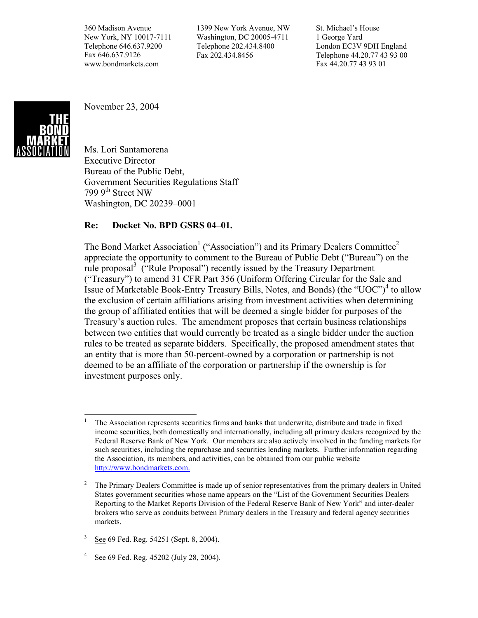New York, NY 10017-7111 Telephone 646.637.9200 Fax 646.637.9126 www.bondmarkets.com

360 Madison Avenue 1399 New York Avenue, NW St. Michael's House Washington, DC 20005-4711 Telephone 202.434.8400 Fax 202.434.8456

1 George Yard London EC3V 9DH England Telephone 44.20.77 43 93 00 Fax 44.20.77 43 93 01



November 23, 2004

Ms. Lori Santamorena Executive Director Bureau of the Public Debt, Government Securities Regulations Staff 799  $9<sup>th</sup>$  Street NW Washington, DC 20239–0001

# **Re: Docket No. BPD GSRS 04–01.**

The Bond Market Association<sup>1</sup> ("Association") and its Primary Dealers Committee<sup>[2](#page-0-1)</sup> appreciate the opportunity to comment to the Bureau of Public Debt ("Bureau") on the ruleproposal<sup>3</sup> ("Rule Proposal") recently issued by the Treasury Department ("Treasury") to amend 31 CFR Part 356 (Uniform Offering Circular for the Sale and Issue of Marketable Book-Entry Treasury Bills, Notes, and Bonds) (the "UOC")<sup>4</sup> [t](#page-0-3)o allow the exclusion of certain affiliations arising from investment activities when determining the group of affiliated entities that will be deemed a single bidder for purposes of the Treasury's auction rules. The amendment proposes that certain business relationships between two entities that would currently be treated as a single bidder under the auction rules to be treated as separate bidders. Specifically, the proposed amendment states that an entity that is more than 50-percent-owned by a corporation or partnership is not deemed to be an affiliate of the corporation or partnership if the ownership is for investment purposes only.

<span id="page-0-3"></span>4 See 69 Fed. Reg. 45202 (July 28, 2004).

<span id="page-0-0"></span> $\overline{\phantom{a}}$ 1 The Association represents securities firms and banks that underwrite, distribute and trade in fixed income securities, both domestically and internationally, including all primary dealers recognized by the Federal Reserve Bank of New York. Our members are also actively involved in the funding markets for such securities, including the repurchase and securities lending markets. Further information regarding the Association, its members, and activities, can be obtained from our public website [http://www.bondmarkets.com.](http://www.bondmarkets.com./)

<span id="page-0-1"></span><sup>2</sup> The Primary Dealers Committee is made up of senior representatives from the primary dealers in United States government securities whose name appears on the "List of the Government Securities Dealers Reporting to the Market Reports Division of the Federal Reserve Bank of New York" and inter-dealer brokers who serve as conduits between Primary dealers in the Treasury and federal agency securities markets.

<span id="page-0-2"></span><sup>3</sup> See 69 Fed. Reg. 54251 (Sept. 8, 2004).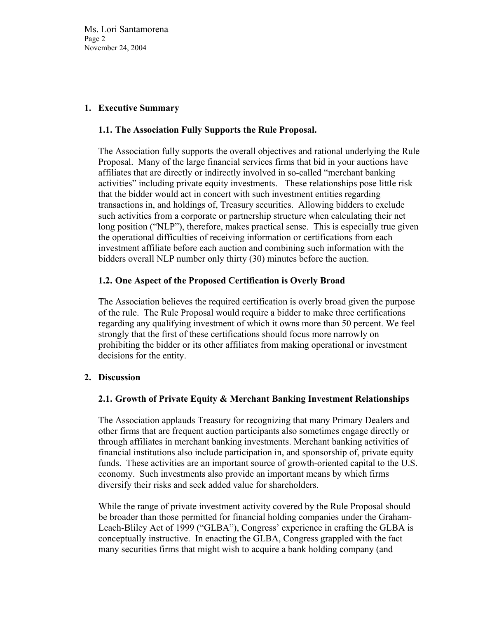### **1. Executive Summary**

#### **1.1. The Association Fully Supports the Rule Proposal.**

The Association fully supports the overall objectives and rational underlying the Rule Proposal. Many of the large financial services firms that bid in your auctions have affiliates that are directly or indirectly involved in so-called "merchant banking activities" including private equity investments. These relationships pose little risk that the bidder would act in concert with such investment entities regarding transactions in, and holdings of, Treasury securities. Allowing bidders to exclude such activities from a corporate or partnership structure when calculating their net long position ("NLP"), therefore, makes practical sense. This is especially true given the operational difficulties of receiving information or certifications from each investment affiliate before each auction and combining such information with the bidders overall NLP number only thirty (30) minutes before the auction.

### **1.2. One Aspect of the Proposed Certification is Overly Broad**

The Association believes the required certification is overly broad given the purpose of the rule. The Rule Proposal would require a bidder to make three certifications regarding any qualifying investment of which it owns more than 50 percent. We feel strongly that the first of these certifications should focus more narrowly on prohibiting the bidder or its other affiliates from making operational or investment decisions for the entity.

#### **2. Discussion**

## **2.1. Growth of Private Equity & Merchant Banking Investment Relationships**

The Association applauds Treasury for recognizing that many Primary Dealers and other firms that are frequent auction participants also sometimes engage directly or through affiliates in merchant banking investments. Merchant banking activities of financial institutions also include participation in, and sponsorship of, private equity funds. These activities are an important source of growth-oriented capital to the U.S. economy. Such investments also provide an important means by which firms diversify their risks and seek added value for shareholders.

While the range of private investment activity covered by the Rule Proposal should be broader than those permitted for financial holding companies under the Graham-Leach-Bliley Act of 1999 ("GLBA"), Congress' experience in crafting the GLBA is conceptually instructive. In enacting the GLBA, Congress grappled with the fact many securities firms that might wish to acquire a bank holding company (and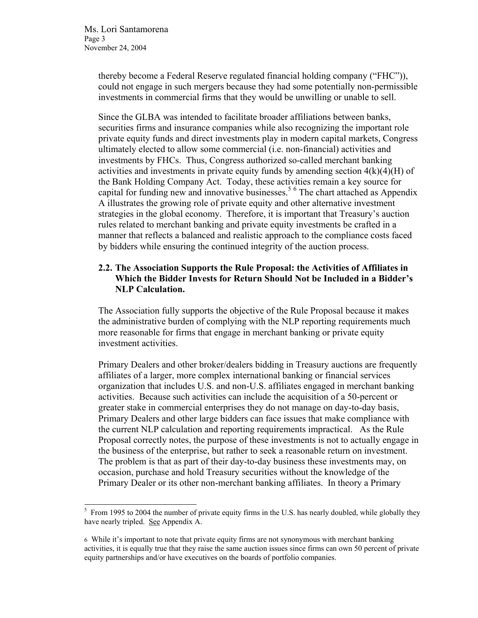thereby become a Federal Reserve regulated financial holding company ("FHC")), could not engage in such mergers because they had some potentially non-permissible investments in commercial firms that they would be unwilling or unable to sell.

Since the GLBA was intended to facilitate broader affiliations between banks, securities firms and insurance companies while also recognizing the important role private equity funds and direct investments play in modern capital markets, Congress ultimately elected to allow some commercial (i.e. non-financial) activities and investments by FHCs. Thus, Congress authorized so-called merchant banking activities and investments in private equity funds by amending section  $4(k)(4)(H)$  of the Bank Holding Company Act. Today, these activities remain a key source for capital for funding new and innovative businesses.<sup>[5](#page-2-0)6</sup> [T](#page-2-1)he chart attached as Appendix A illustrates the growing role of private equity and other alternative investment strategies in the global economy. Therefore, it is important that Treasury's auction rules related to merchant banking and private equity investments be crafted in a manner that reflects a balanced and realistic approach to the compliance costs faced by bidders while ensuring the continued integrity of the auction process.

## **2.2. The Association Supports the Rule Proposal: the Activities of Affiliates in Which the Bidder Invests for Return Should Not be Included in a Bidder's NLP Calculation.**

The Association fully supports the objective of the Rule Proposal because it makes the administrative burden of complying with the NLP reporting requirements much more reasonable for firms that engage in merchant banking or private equity investment activities.

Primary Dealers and other broker/dealers bidding in Treasury auctions are frequently affiliates of a larger, more complex international banking or financial services organization that includes U.S. and non-U.S. affiliates engaged in merchant banking activities. Because such activities can include the acquisition of a 50-percent or greater stake in commercial enterprises they do not manage on day-to-day basis, Primary Dealers and other large bidders can face issues that make compliance with the current NLP calculation and reporting requirements impractical. As the Rule Proposal correctly notes, the purpose of these investments is not to actually engage in the business of the enterprise, but rather to seek a reasonable return on investment. The problem is that as part of their day-to-day business these investments may, on occasion, purchase and hold Treasury securities without the knowledge of the Primary Dealer or its other non-merchant banking affiliates. In theory a Primary

<span id="page-2-0"></span><sup>&</sup>lt;sup>5</sup> From 1995 to 2004 the number of private equity firms in the U.S. has nearly doubled, while globally they have nearly tripled. See Appendix A.

<span id="page-2-1"></span><sup>6</sup> While it's important to note that private equity firms are not synonymous with merchant banking activities, it is equally true that they raise the same auction issues since firms can own 50 percent of private equity partnerships and/or have executives on the boards of portfolio companies.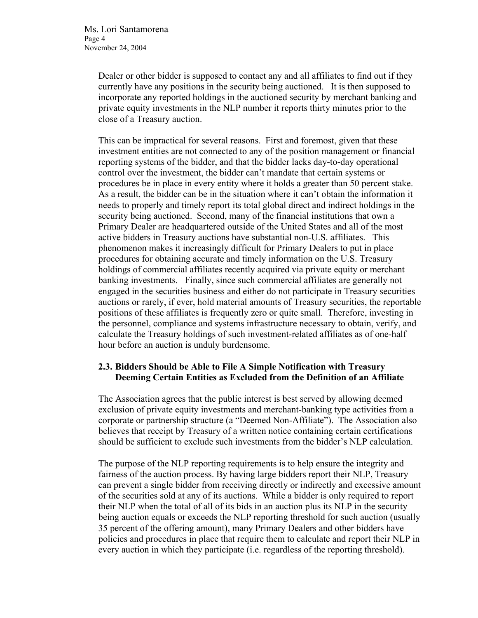Dealer or other bidder is supposed to contact any and all affiliates to find out if they currently have any positions in the security being auctioned. It is then supposed to incorporate any reported holdings in the auctioned security by merchant banking and private equity investments in the NLP number it reports thirty minutes prior to the close of a Treasury auction.

This can be impractical for several reasons. First and foremost, given that these investment entities are not connected to any of the position management or financial reporting systems of the bidder, and that the bidder lacks day-to-day operational control over the investment, the bidder can't mandate that certain systems or procedures be in place in every entity where it holds a greater than 50 percent stake. As a result, the bidder can be in the situation where it can't obtain the information it needs to properly and timely report its total global direct and indirect holdings in the security being auctioned. Second, many of the financial institutions that own a Primary Dealer are headquartered outside of the United States and all of the most active bidders in Treasury auctions have substantial non-U.S. affiliates. This phenomenon makes it increasingly difficult for Primary Dealers to put in place procedures for obtaining accurate and timely information on the U.S. Treasury holdings of commercial affiliates recently acquired via private equity or merchant banking investments. Finally, since such commercial affiliates are generally not engaged in the securities business and either do not participate in Treasury securities auctions or rarely, if ever, hold material amounts of Treasury securities, the reportable positions of these affiliates is frequently zero or quite small. Therefore, investing in the personnel, compliance and systems infrastructure necessary to obtain, verify, and calculate the Treasury holdings of such investment-related affiliates as of one-half hour before an auction is unduly burdensome.

## **2.3. Bidders Should be Able to File A Simple Notification with Treasury Deeming Certain Entities as Excluded from the Definition of an Affiliate**

The Association agrees that the public interest is best served by allowing deemed exclusion of private equity investments and merchant-banking type activities from a corporate or partnership structure (a "Deemed Non-Affiliate"). The Association also believes that receipt by Treasury of a written notice containing certain certifications should be sufficient to exclude such investments from the bidder's NLP calculation.

The purpose of the NLP reporting requirements is to help ensure the integrity and fairness of the auction process. By having large bidders report their NLP, Treasury can prevent a single bidder from receiving directly or indirectly and excessive amount of the securities sold at any of its auctions. While a bidder is only required to report their NLP when the total of all of its bids in an auction plus its NLP in the security being auction equals or exceeds the NLP reporting threshold for such auction (usually 35 percent of the offering amount), many Primary Dealers and other bidders have policies and procedures in place that require them to calculate and report their NLP in every auction in which they participate (i.e. regardless of the reporting threshold).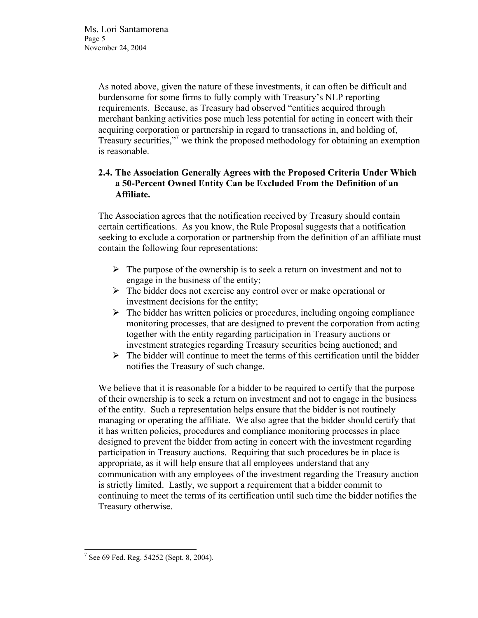As noted above, given the nature of these investments, it can often be difficult and burdensome for some firms to fully comply with Treasury's NLP reporting requirements. Because, as Treasury had observed "entities acquired through merchant banking activities pose much less potential for acting in concert with their acquiring corporation or partnership in regard to transactions in, and holding of, Treasury securities,["7](#page-4-0) we think the proposed methodology for obtaining an exemption is reasonable.

# **2.4. The Association Generally Agrees with the Proposed Criteria Under Which a 50-Percent Owned Entity Can be Excluded From the Definition of an Affiliate.**

The Association agrees that the notification received by Treasury should contain certain certifications. As you know, the Rule Proposal suggests that a notification seeking to exclude a corporation or partnership from the definition of an affiliate must contain the following four representations:

- $\triangleright$  The purpose of the ownership is to seek a return on investment and not to engage in the business of the entity;
- $\triangleright$  The bidder does not exercise any control over or make operational or investment decisions for the entity;
- $\triangleright$  The bidder has written policies or procedures, including ongoing compliance monitoring processes, that are designed to prevent the corporation from acting together with the entity regarding participation in Treasury auctions or investment strategies regarding Treasury securities being auctioned; and
- $\triangleright$  The bidder will continue to meet the terms of this certification until the bidder notifies the Treasury of such change.

We believe that it is reasonable for a bidder to be required to certify that the purpose of their ownership is to seek a return on investment and not to engage in the business of the entity. Such a representation helps ensure that the bidder is not routinely managing or operating the affiliate. We also agree that the bidder should certify that it has written policies, procedures and compliance monitoring processes in place designed to prevent the bidder from acting in concert with the investment regarding participation in Treasury auctions. Requiring that such procedures be in place is appropriate, as it will help ensure that all employees understand that any communication with any employees of the investment regarding the Treasury auction is strictly limited. Lastly, we support a requirement that a bidder commit to continuing to meet the terms of its certification until such time the bidder notifies the Treasury otherwise.

<span id="page-4-0"></span> $\overline{\phantom{a}}$  $7 \text{ See } 69$  Fed. Reg. 54252 (Sept. 8, 2004).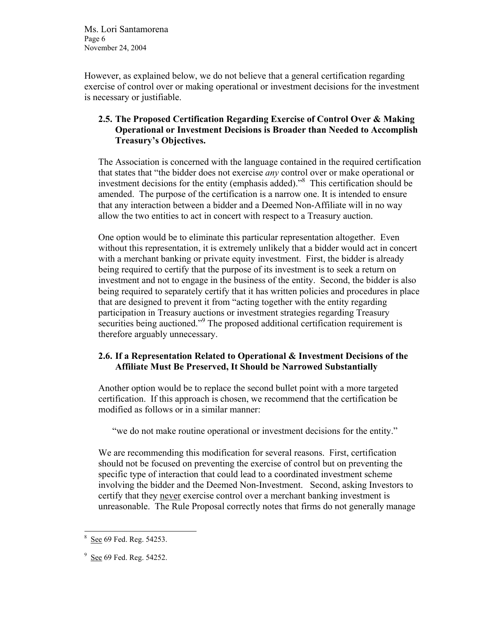Ms. Lori Santamorena Page 6 November 24, 2004

However, as explained below, we do not believe that a general certification regarding exercise of control over or making operational or investment decisions for the investment is necessary or justifiable.

### **2.5. The Proposed Certification Regarding Exercise of Control Over & Making Operational or Investment Decisions is Broader than Needed to Accomplish Treasury's Objectives.**

The Association is concerned with the language contained in the required certification that states that "the bidder does not exercise *any* control over or make operational or investment decisions for the entity (emphasis added).["8](#page-5-0) This certification should be amended. The purpose of the certification is a narrow one. It is intended to ensure that any interaction between a bidder and a Deemed Non-Affiliate will in no way allow the two entities to act in concert with respect to a Treasury auction.

One option would be to eliminate this particular representation altogether. Even without this representation, it is extremely unlikely that a bidder would act in concert with a merchant banking or private equity investment. First, the bidder is already being required to certify that the purpose of its investment is to seek a return on investment and not to engage in the business of the entity. Second, the bidder is also being required to separately certify that it has written policies and procedures in place that are designed to prevent it from "acting together with the entity regarding participation in Treasury auctions or investment strategies regarding Treasury securities being auctioned."<sup>[9](#page-5-1)</sup> The proposed additional certification requirement is therefore arguably unnecessary.

# **2.6. If a Representation Related to Operational & Investment Decisions of the Affiliate Must Be Preserved, It Should be Narrowed Substantially**

Another option would be to replace the second bullet point with a more targeted certification. If this approach is chosen, we recommend that the certification be modified as follows or in a similar manner:

"we do not make routine operational or investment decisions for the entity."

We are recommending this modification for several reasons. First, certification should not be focused on preventing the exercise of control but on preventing the specific type of interaction that could lead to a coordinated investment scheme involving the bidder and the Deemed Non-Investment. Second, asking Investors to certify that they never exercise control over a merchant banking investment is unreasonable. The Rule Proposal correctly notes that firms do not generally manage

l

<span id="page-5-0"></span><sup>8</sup> See 69 Fed. Reg. 54253.

<span id="page-5-1"></span> $9$  See 69 Fed. Reg. 54252.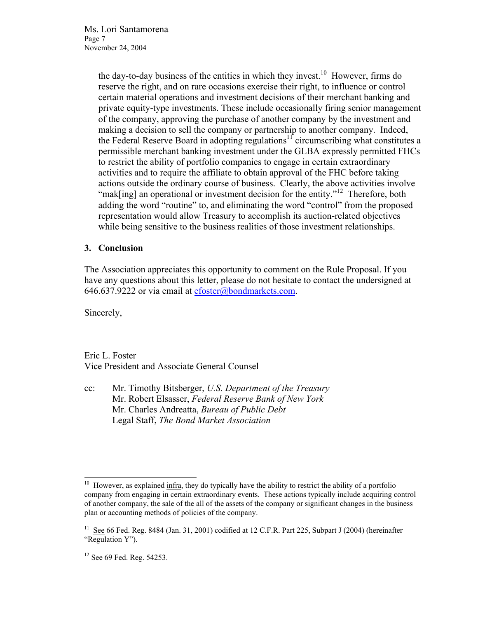Ms. Lori Santamorena Page 7 November 24, 2004

> the day-to-day business of the entities in which they invest.<sup>10</sup> However, firms do reserve the right, and on rare occasions exercise their right, to influence or control certain material operations and investment decisions of their merchant banking and private equity-type investments. These include occasionally firing senior management of the company, approving the purchase of another company by the investment and making a decision to sell the company or partnership to another company. Indeed, the Federal Reserve Board in adopting regulations<sup>11</sup> circumscribing what constitutes a permissible merchant banking investment under the GLBA expressly permitted FHCs to restrict the ability of portfolio companies to engage in certain extraordinary activities and to require the affiliate to obtain approval of the FHC before taking actions outside the ordinary course of business. Clearly, the above activities involve "mak[ing] an operational or investment decision for the entity."<sup>12</sup> Therefore, both adding the word "routine" to, and eliminating the word "control" from the proposed representation would allow Treasury to accomplish its auction-related objectives while being sensitive to the business realities of those investment relationships.

#### **3. Conclusion**

The Association appreciates this opportunity to comment on the Rule Proposal. If you have any questions about this letter, please do not hesitate to contact the undersigned at 646.637.9222 or via email at [efoster@bondmarkets.com](mailto:efoster@bondmarkets.com).

Sincerely,

Eric L. Foster Vice President and Associate General Counsel

cc: Mr. Timothy Bitsberger, *U.S. Department of the Treasury*  Mr. Robert Elsasser, *Federal Reserve Bank of New York*  Mr. Charles Andreatta, *Bureau of Public Debt* Legal Staff, *The Bond Market Association*

<span id="page-6-0"></span> $10\,$ However, as explained infra, they do typically have the ability to restrict the ability of a portfolio company from engaging in certain extraordinary events. These actions typically include acquiring control of another company, the sale of the all of the assets of the company or significant changes in the business plan or accounting methods of policies of the company.

<span id="page-6-1"></span><sup>&</sup>lt;sup>11</sup> See 66 Fed. Reg. 8484 (Jan. 31, 2001) codified at 12 C.F.R. Part 225, Subpart J (2004) (hereinafter "Regulation Y").

<span id="page-6-2"></span><sup>&</sup>lt;sup>12</sup> See 69 Fed. Reg. 54253.